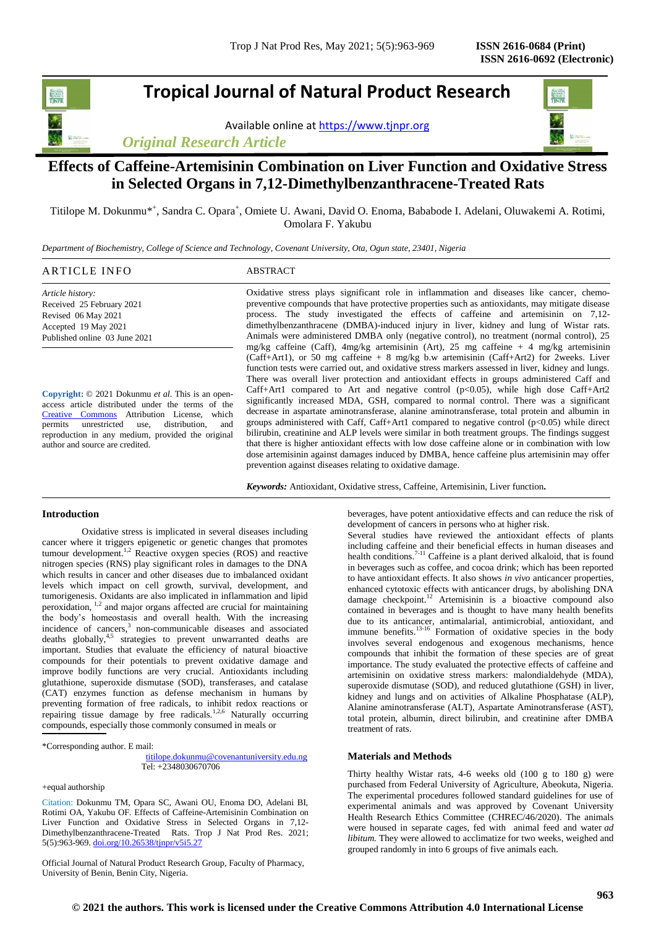**Tropical Journal of Natural Product Research**

Available online a[t https://www.tjnpr.org](https://www.tjnpr.org/)

*Original Research Article*



# **Effects of Caffeine-Artemisinin Combination on Liver Function and Oxidative Stress in Selected Organs in 7,12-Dimethylbenzanthracene-Treated Rats**

Titilope M. Dokunmu<sup>\*†</sup>, Sandra C. Opara<sup>†</sup>, Omiete U. Awani, David O. Enoma, Bababode I. Adelani, Oluwakemi A. Rotimi, Omolara F. Yakubu

*Department of Biochemistry, College of Science and Technology, Covenant University, Ota, Ogun state, 23401, Nigeria*

| ARTICLE INFO                                          | ABSTRACT                                                                                                                                                                                    |
|-------------------------------------------------------|---------------------------------------------------------------------------------------------------------------------------------------------------------------------------------------------|
| Article history:                                      | Oxidative stress plays significant role in inflammation and diseases like cancer, chemo-<br>preventive compounds that have protective properties such as antioxidants, may mitigate disease |
| Received 25 February 2021<br>Revised 06 May 2021      | process. The study investigated the effects of caffeine and artemisinin on 7,12-                                                                                                            |
| Accepted 19 May 2021<br>Published online 03 June 2021 | dimethylbenzanthracene (DMBA)-induced injury in liver, kidney and lung of Wistar rats.<br>Animals were administered DMBA only (negative control), no treatment (normal control), 25         |
|                                                       | mg/kg caffeine (Caff), $4mg/kg$ artemisinin (Art), 25 mg caffeine + 4 mg/kg artemisinin<br>(Caff+Art1), or 50 mg caffeine $+8$ mg/kg b.w artemisinin (Caff+Art2) for 2weeks. Liver          |

**Copyright:** © 2021 Dokunmu *et al*. This is an openaccess article distributed under the terms of the [Creative Commons](https://creativecommons.org/licenses/by/4.0/) Attribution License, which permits unrestricted use, distribution, and reproduction in any medium, provided the original author and source are credited.

(Caff+Art1), or 50 mg caffeine + 8 mg/kg b.w artemisinin (Caff+Art2) for 2weeks. Liver function tests were carried out, and oxidative stress markers assessed in liver, kidney and lungs. There was overall liver protection and antioxidant effects in groups administered Caff and Caff+Art1 compared to Art and negative control  $(p<0.05)$ , while high dose Caff+Art2 significantly increased MDA, GSH, compared to normal control. There was a significant decrease in aspartate aminotransferase, alanine aminotransferase, total protein and albumin in groups administered with Caff, Caff+Art1 compared to negative control (p<0.05) while direct bilirubin, creatinine and ALP levels were similar in both treatment groups. The findings suggest that there is higher antioxidant effects with low dose caffeine alone or in combination with low dose artemisinin against damages induced by DMBA, hence caffeine plus artemisinin may offer prevention against diseases relating to oxidative damage.

*Keywords:* Antioxidant, Oxidative stress, Caffeine, Artemisinin, Liver function**.**

## **Introduction**

Oxidative stress is implicated in several diseases including cancer where it triggers epigenetic or genetic changes that promotes tumour development.<sup>1,2</sup> Reactive oxygen species (ROS) and reactive nitrogen species (RNS) play significant roles in damages to the DNA which results in cancer and other diseases due to imbalanced oxidant levels which impact on cell growth, survival, development, and tumorigenesis. Oxidants are also implicated in inflammation and lipid peroxidation, <sup>1,2</sup> and major organs affected are crucial for maintaining the body's homeostasis and overall health. With the increasing incidence of cancers,<sup>3</sup> non-communicable diseases and associated deaths globally,<sup>4,5</sup> strategies to prevent unwarranted deaths are important. Studies that evaluate the efficiency of natural bioactive compounds for their potentials to prevent oxidative damage and improve bodily functions are very crucial. Antioxidants including glutathione, superoxide dismutase (SOD), transferases, and catalase (CAT) enzymes function as defense mechanism in humans by preventing formation of free radicals, to inhibit redox reactions or repairing tissue damage by free radicals.<sup>1,2,6</sup> Naturally occurring compounds, especially those commonly consumed in meals or

\*Corresponding author. E mail:

 [titilope.dokunmu@covenantuniversity.edu.ng](mailto:titilope.dokunmu@covenantuniversity.edu.ng) Tel: +2348030670706

+equal authorship

Citation: Dokunmu TM, Opara SC, Awani OU, Enoma DO, Adelani BI, Rotimi OA, Yakubu OF. Effects of Caffeine-Artemisinin Combination on Liver Function and Oxidative Stress in Selected Organs in 7,12- Dimethylbenzanthracene-Treated Rats. Trop J Nat Prod Res. 2021; 5(5):963-969. [doi.org/10.26538/tjnpr/v5i5.2](http://www.doi.org/10.26538/tjnpr/v1i4.5)7

Official Journal of Natural Product Research Group, Faculty of Pharmacy, University of Benin, Benin City, Nigeria.

beverages, have potent antioxidative effects and can reduce the risk of development of cancers in persons who at higher risk.

Several studies have reviewed the antioxidant effects of plants including caffeine and their beneficial effects in human diseases and health conditions.<sup>7-11</sup> Caffeine is a plant derived alkaloid, that is found in beverages such as coffee, and cocoa drink; which has been reported to have antioxidant effects. It also shows *in vivo* anticancer properties, enhanced cytotoxic effects with anticancer drugs, by abolishing DNA damage checkpoint.<sup>12</sup> Artemisinin is a bioactive compound also contained in beverages and is thought to have many health benefits due to its anticancer, antimalarial, antimicrobial, antioxidant, and immune benefits.<sup>13-16</sup> Formation of oxidative species in the body involves several endogenous and exogenous mechanisms, hence compounds that inhibit the formation of these species are of great importance. The study evaluated the protective effects of caffeine and artemisinin on oxidative stress markers: malondialdehyde (MDA), superoxide dismutase (SOD), and reduced glutathione (GSH) in liver, kidney and lungs and on activities of Alkaline Phosphatase (ALP), Alanine aminotransferase (ALT), Aspartate Aminotransferase (AST), total protein, albumin, direct bilirubin, and creatinine after DMBA treatment of rats.

## **Materials and Methods**

Thirty healthy Wistar rats, 4-6 weeks old (100 g to 180 g) were purchased from Federal University of Agriculture, Abeokuta, Nigeria. The experimental procedures followed standard guidelines for use of experimental animals and was approved by Covenant University Health Research Ethics Committee (CHREC/46/2020). The animals were housed in separate cages, fed with animal feed and water *ad libitum.* They were allowed to acclimatize for two weeks, weighed and grouped randomly in into 6 groups of five animals each.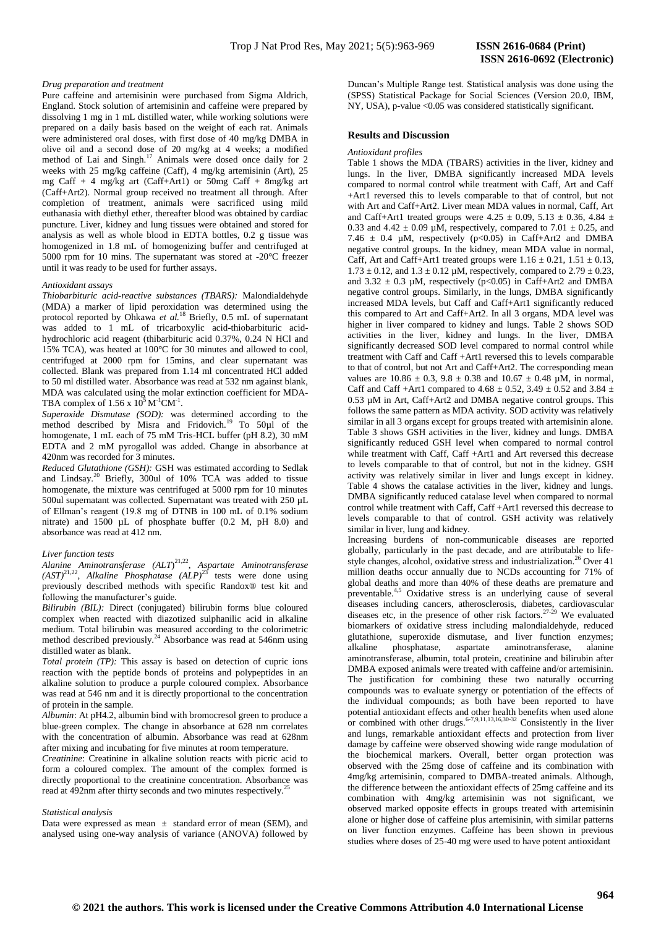### *Drug preparation and treatment*

Pure caffeine and artemisinin were purchased from Sigma Aldrich, England. Stock solution of artemisinin and caffeine were prepared by dissolving 1 mg in 1 mL distilled water, while working solutions were prepared on a daily basis based on the weight of each rat. Animals were administered oral doses, with first dose of 40 mg/kg DMBA in olive oil and a second dose of 20 mg/kg at 4 weeks; a modified method of Lai and Singh.<sup>17</sup> Animals were dosed once daily for 2 weeks with 25 mg/kg caffeine (Caff), 4 mg/kg artemisinin (Art), 25 mg Caff + 4 mg/kg art (Caff+Art1) or 50mg Caff + 8mg/kg art (Caff+Art2). Normal group received no treatment all through. After completion of treatment, animals were sacrificed using mild euthanasia with diethyl ether, thereafter blood was obtained by cardiac puncture. Liver, kidney and lung tissues were obtained and stored for analysis as well as whole blood in EDTA bottles, 0.2 g tissue was homogenized in 1.8 mL of homogenizing buffer and centrifuged at 5000 rpm for 10 mins. The supernatant was stored at -20°C freezer until it was ready to be used for further assays.

## *Antioxidant assays*

*Thiobarbituric acid-reactive substances (TBARS):* Malondialdehyde (MDA) a marker of lipid peroxidation was determined using the protocol reported by Ohkawa *et al.*<sup>18</sup> Briefly, 0.5 mL of supernatant was added to 1 mL of tricarboxylic acid-thiobarbituric acidhydrochloric acid reagent (thibarbituric acid 0.37%, 0.24 N HCl and 15% TCA), was heated at 100°C for 30 minutes and allowed to cool, centrifuged at 2000 rpm for 15mins, and clear supernatant was collected. Blank was prepared from 1.14 ml concentrated HCl added to 50 ml distilled water. Absorbance was read at 532 nm against blank, MDA was calculated using the molar extinction coefficient for MDA-TBA complex of  $1.56 \times 10^5$  M<sup>-1</sup>CM<sup>-1</sup>.

*Superoxide Dismutase (SOD):* was determined according to the method described by Misra and Fridovich.<sup>19</sup> To 50µl of the homogenate, 1 mL each of 75 mM Tris-HCL buffer (pH 8.2), 30 mM EDTA and 2 mM pyrogallol was added. Change in absorbance at 420nm was recorded for 3 minutes.

*Reduced Glutathione (GSH):* GSH was estimated according to Sedlak and Lindsay.<sup>20</sup> Briefly, 300ul of 10% TCA was added to tissue homogenate, the mixture was centrifuged at 5000 rpm for 10 minutes 500ul supernatant was collected. Supernatant was treated with 250 µL of Ellman's reagent (19.8 mg of DTNB in 100 mL of 0.1% sodium nitrate) and 1500 µL of phosphate buffer (0.2 M, pH 8.0) and absorbance was read at 412 nm.

#### *Liver function tests*

*Alanine Aminotransferase (ALT*) 21,22 , *Aspartate Aminotransferase*   $(AST)^{21,22}$ , *Alkaline Phosphatase*  $(ALP)^{25}$  tests were done using previously described methods with specific Randox® test kit and following the manufacturer's guide.

*Bilirubin (BIL):* Direct (conjugated) bilirubin forms blue coloured complex when reacted with diazotized sulphanilic acid in alkaline medium. Total bilirubin was measured according to the colorimetric method described previously.<sup>24</sup> Absorbance was read at 546nm using distilled water as blank.

*Total protein (TP):* This assay is based on detection of cupric ions reaction with the peptide bonds of proteins and polypeptides in an alkaline solution to produce a purple coloured complex. Absorbance was read at 546 nm and it is directly proportional to the concentration of protein in the sample.

*Albumin*: At pH4.2, albumin bind with bromocresol green to produce a blue-green complex. The change in absorbance at 628 nm correlates with the concentration of albumin. Absorbance was read at 628nm after mixing and incubating for five minutes at room temperature*.*

*Creatinine*: Creatinine in alkaline solution reacts with picric acid to form a coloured complex. The amount of the complex formed is directly proportional to the creatinine concentration. Absorbance was read at 492nm after thirty seconds and two minutes respectively.<sup>2</sup>

#### *Statistical analysis*

Data were expressed as mean  $\pm$  standard error of mean (SEM), and analysed using one-way analysis of variance (ANOVA) followed by

Duncan's Multiple Range test. Statistical analysis was done using the (SPSS) Statistical Package for Social Sciences (Version 20.0, IBM, NY, USA), p-value  $\langle 0.05 \rangle$  was considered statistically significant.

## **Results and Discussion**

#### *Antioxidant profiles*

Table 1 shows the MDA (TBARS) activities in the liver, kidney and lungs. In the liver, DMBA significantly increased MDA levels compared to normal control while treatment with Caff, Art and Caff +Art1 reversed this to levels comparable to that of control, but not with Art and Caff+Art2. Liver mean MDA values in normal, Caff, Art and Caff+Art1 treated groups were  $4.25 \pm 0.09$ ,  $5.13 \pm 0.36$ ,  $4.84 \pm 0.36$ 0.33 and 4.42  $\pm$  0.09 µM, respectively, compared to 7.01  $\pm$  0.25, and 7.46  $\pm$  0.4 µM, respectively (p<0.05) in Caff+Art2 and DMBA negative control groups. In the kidney, mean MDA value in normal, Caff, Art and Caff+Art1 treated groups were  $1.16 \pm 0.21$ ,  $1.51 \pm 0.13$ ,  $1.73 \pm 0.12$ , and  $1.3 \pm 0.12$  µM, respectively, compared to  $2.79 \pm 0.23$ , and  $3.32 \pm 0.3$  µM, respectively (p<0.05) in Caff+Art2 and DMBA negative control groups. Similarly, in the lungs, DMBA significantly increased MDA levels, but Caff and Caff+Art1 significantly reduced this compared to Art and Caff+Art2. In all 3 organs, MDA level was higher in liver compared to kidney and lungs. Table 2 shows SOD activities in the liver, kidney and lungs. In the liver, DMBA significantly decreased SOD level compared to normal control while treatment with Caff and Caff +Art1 reversed this to levels comparable to that of control, but not Art and Caff+Art2. The corresponding mean values are  $10.86 \pm 0.3$ ,  $9.8 \pm 0.38$  and  $10.67 \pm 0.48$  µM, in normal, Caff and Caff +Art1 compared to  $4.68 \pm 0.52$ ,  $3.49 \pm 0.52$  and  $3.84 \pm$ 0.53 µM in Art, Caff+Art2 and DMBA negative control groups. This follows the same pattern as MDA activity. SOD activity was relatively similar in all 3 organs except for groups treated with artemisinin alone. Table 3 shows GSH activities in the liver, kidney and lungs. DMBA significantly reduced GSH level when compared to normal control while treatment with Caff, Caff +Art1 and Art reversed this decrease to levels comparable to that of control, but not in the kidney. GSH activity was relatively similar in liver and lungs except in kidney. Table 4 shows the catalase activities in the liver, kidney and lungs. DMBA significantly reduced catalase level when compared to normal control while treatment with Caff, Caff +Art1 reversed this decrease to levels comparable to that of control. GSH activity was relatively similar in liver, lung and kidney.

Increasing burdens of non-communicable diseases are reported globally, particularly in the past decade, and are attributable to lifestyle changes, alcohol, oxidative stress and industrialization.<sup>26</sup> Over 41 million deaths occur annually due to NCDs accounting for 71% of global deaths and more than 40% of these deaths are premature and preventable.4,5 Oxidative stress is an underlying cause of several diseases including cancers, atherosclerosis, diabetes, cardiovascular diseases etc, in the presence of other risk factors.<sup>27-29</sup> We evaluated biomarkers of oxidative stress including malondialdehyde, reduced glutathione, superoxide dismutase, and liver function enzymes; alkaline phosphatase, aspartate aminotransferase, alanine aminotransferase, albumin, total protein, creatinine and bilirubin after DMBA exposed animals were treated with caffeine and/or artemisinin. The justification for combining these two naturally occurring compounds was to evaluate synergy or potentiation of the effects of the individual compounds; as both have been reported to have potential antioxidant effects and other health benefits when used alone or combined with other drugs.  $6-7,9,11,13,16,30-32$  Consistently in the liver and lungs, remarkable antioxidant effects and protection from liver damage by caffeine were observed showing wide range modulation of the biochemical markers. Overall, better organ protection was observed with the 25mg dose of caffeine and its combination with 4mg/kg artemisinin, compared to DMBA-treated animals. Although, the difference between the antioxidant effects of 25mg caffeine and its combination with 4mg/kg artemisinin was not significant, we observed marked opposite effects in groups treated with artemisinin alone or higher dose of caffeine plus artemisinin, with similar patterns on liver function enzymes. Caffeine has been shown in previous studies where doses of 25-40 mg were used to have potent antioxidant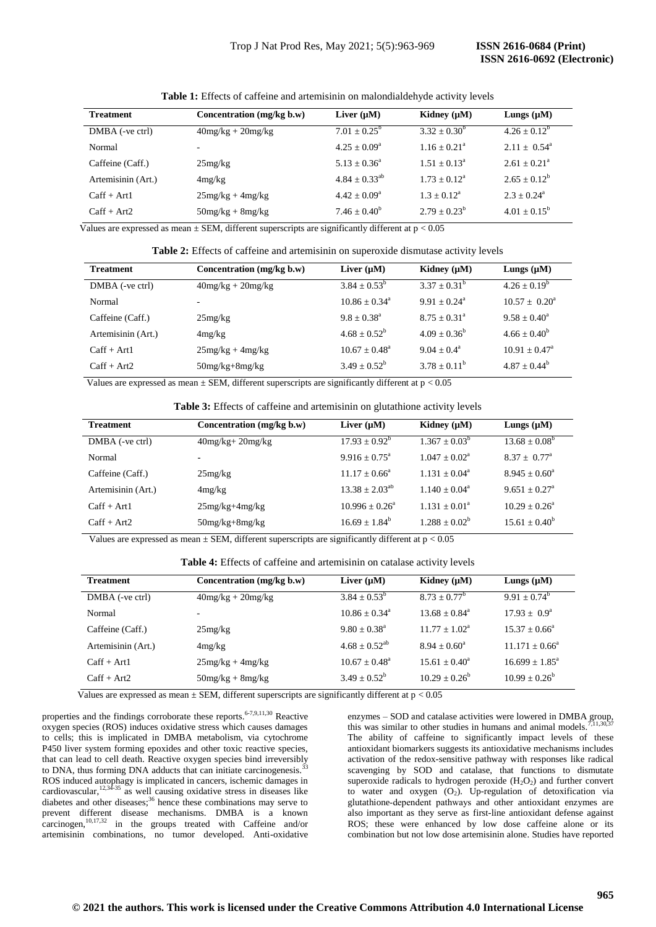| <b>Treatment</b>   | Concentration (mg/kg b.w) | Liver $(\mu M)$      | Kidney $(\mu M)$        | Lungs $(\mu M)$          |
|--------------------|---------------------------|----------------------|-------------------------|--------------------------|
| DMBA (-ve ctrl)    | $40mg/kg + 20mg/kg$       | $7.01 + 0.25^b$      | $3.32 + 0.30^b$         | $4.26 + 0.12^b$          |
| Normal             |                           | $4.25 + 0.09^a$      | $1.16 \pm 0.21^{\circ}$ | $2.11 + 0.54^{\text{a}}$ |
| Caffeine (Caff.)   | 25mg/kg                   | $5.13 + 0.36^a$      | $1.51 + 0.13^a$         | $2.61 + 0.21^a$          |
| Artemisinin (Art.) | 4mg/kg                    | $4.84 \pm 0.33^{ab}$ | $1.73 + 0.12^a$         | $2.65 + 0.12^b$          |
| $Caff + Art1$      | $25mg/kg + 4mg/kg$        | $4.42 + 0.09^a$      | $1.3 + 0.12^a$          | $2.3 + 0.24^a$           |
| $Caff + Art2$      | $50mg/kg + 8mg/kg$        | $7.46 \pm 0.40^b$    | $2.79 \pm 0.23^b$       | $4.01 + 0.15^b$          |

**Table 1:** Effects of caffeine and artemisinin on malondialdehyde activity levels

Values are expressed as mean  $\pm$  SEM, different superscripts are significantly different at  $p < 0.05$ 

**Table 2:** Effects of caffeine and artemisinin on superoxide dismutase activity levels

| <b>Treatment</b>   | Concentration (mg/kg b.w) | Liver $(\mu M)$   | Kidney $(\mu M)$      | Lungs $(\mu M)$          |
|--------------------|---------------------------|-------------------|-----------------------|--------------------------|
| DMBA (-ve ctrl)    | $40mg/kg + 20mg/kg$       | $3.84 + 0.53^b$   | $3.37 + 0.31^b$       | $4.26 + 0.19^b$          |
| Normal             | -                         | $10.86 + 0.34^a$  | $9.91 + 0.24^a$       | $10.57 \pm 0.20^{\circ}$ |
| Caffeine (Caff.)   | 25mg/kg                   | $9.8 + 0.38^a$    | $8.75 + 0.31^{\circ}$ | $9.58 + 0.40^a$          |
| Artemisinin (Art.) | 4mg/kg                    | $4.68 + 0.52^b$   | $4.09 + 0.36^b$       | $4.66 \pm 0.40^b$        |
| $Caff + Art1$      | $25mg/kg + 4mg/kg$        | $10.67 + 0.48^a$  | $9.04 + 0.4^a$        | $10.91 + 0.47^{\circ}$   |
| $Caff + Art2$      | $50mg/kg + 8mg/kg$        | $3.49 \pm 0.52^b$ | $3.78 + 0.11^b$       | $4.87 + 0.44^b$          |

Values are expressed as mean  $\pm$  SEM, different superscripts are significantly different at  $p < 0.05$ 

**Table 3:** Effects of caffeine and artemisinin on glutathione activity levels

| <b>Treatment</b>   | Concentration (mg/kg b.w) | Liver $(\mu M)$        | Kidney $(\mu M)$   | Lungs $(\mu M)$          |
|--------------------|---------------------------|------------------------|--------------------|--------------------------|
| DMBA (-ve ctrl)    | $40mg/kg + 20mg/kg$       | $17.93 \pm 0.92^b$     | $1.367 \pm 0.03^b$ | $13.68 \pm 0.08^{\circ}$ |
| Normal             | $\overline{\phantom{a}}$  | $9.916 + 0.75^{\circ}$ | $1.047 + 0.02^a$   | $8.37 + 0.77^{\text{a}}$ |
| Caffeine (Caff.)   | 25mg/kg                   | $11.17 + 0.66^a$       | $1.131 + 0.04^a$   | $8.945 + 0.60^a$         |
| Artemisinin (Art.) | 4mg/kg                    | $13.38 + 2.03^{ab}$    | $1.140 + 0.04^a$   | $9.651 + 0.27^{\circ}$   |
| $Caff + Art1$      | $25mg/kg+4mg/kg$          | $10.996 + 0.26^a$      | $1.131 + 0.01a$    | $10.29 + 0.26^a$         |
| $Caff + Art2$      | $50mg/kg + 8mg/kg$        | $16.69 \pm 1.84^b$     | $1.288 \pm 0.02^b$ | $15.61 + 0.40^b$         |

Values are expressed as mean  $\pm$  SEM, different superscripts are significantly different at  $p < 0.05$ 

**Table 4:** Effects of caffeine and artemisinin on catalase activity levels

| <b>Treatment</b>   | Concentration (mg/kg b.w) | Liver $(\mu M)$        | Kidney $(\mu M)$       | Lungs $(\mu M)$        |
|--------------------|---------------------------|------------------------|------------------------|------------------------|
| DMBA (-ve ctrl)    | $40mg/kg + 20mg/kg$       | $3.84 \pm 0.53^b$      | $8.73 \pm 0.77^b$      | $9.91 + 0.74^b$        |
| Normal             |                           | $10.86 + 0.34^{\circ}$ | $13.68 + 0.84^{\circ}$ | $17.93 + 0.9^{\circ}$  |
| Caffeine (Caff.)   | 25mg/kg                   | $9.80 + 0.38^a$        | $11.77 + 1.02^a$       | $15.37 + 0.66^{\circ}$ |
| Artemisinin (Art.) | 4mg/kg                    | $4.68 + 0.52^{ab}$     | $8.94 + 0.60^{\circ}$  | $11.171 + 0.66^a$      |
| $Caff + Art1$      | $25mg/kg + 4mg/kg$        | $10.67 + 0.48^a$       | $15.61 + 0.40^a$       | $16.699 + 1.85^a$      |
| $Caff + Art2$      | $50mg/kg + 8mg/kg$        | $3.49 + 0.52^b$        | $10.29 + 0.26^b$       | $10.99 + 0.26^b$       |

Values are expressed as mean  $\pm$  SEM, different superscripts are significantly different at  $p < 0.05$ 

properties and the findings corroborate these reports. $6-7,9,11,30$  Reactive oxygen species (ROS) induces oxidative stress which causes damages to cells; this is implicated in DMBA metabolism, via cytochrome P450 liver system forming epoxides and other toxic reactive species, that can lead to cell death. Reactive oxygen species bind irreversibly to DNA, thus forming DNA adducts that can initiate carcinogenesis. ROS induced autophagy is implicated in cancers, ischemic damages in cardiovascular,  $12,34-35$  as well causing oxidative stress in diseases like diabetes and other diseases; $36$  hence these combinations may serve to prevent different disease mechanisms. DMBA is a known carcinogen,<sup>10,17,32</sup> in the groups treated with Caffeine and/or artemisinin combinations, no tumor developed. Anti-oxidative

enzymes – SOD and catalase activities were lowered in DMBA group, this was similar to other studies in humans and animal models. The ability of caffeine to significantly impact levels of these antioxidant biomarkers suggests its antioxidative mechanisms includes activation of the redox-sensitive pathway with responses like radical scavenging by SOD and catalase, that functions to dismutate superoxide radicals to hydrogen peroxide  $(H_2O_2)$  and further convert to water and oxygen  $(O_2)$ . Up-regulation of detoxification via glutathione‐dependent pathways and other antioxidant enzymes are also important as they serve as first-line antioxidant defense against ROS; these were enhanced by low dose caffeine alone or its combination but not low dose artemisinin alone. Studies have reported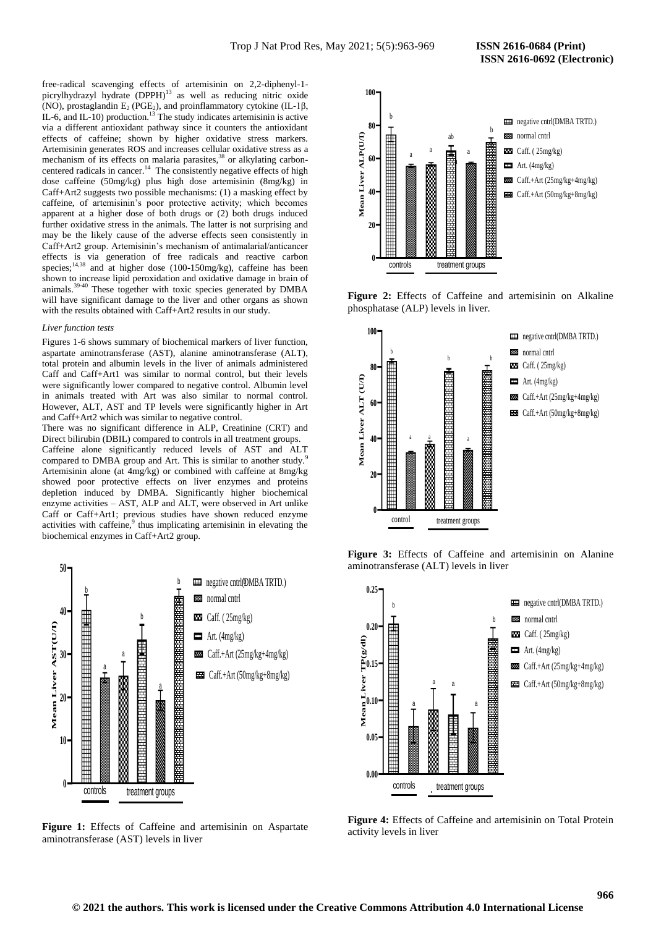free-radical scavenging effects of artemisinin on 2,2-diphenyl-1 picrylhydrazyl hydrate  $(DPPH)^{13}$  as well as reducing nitric oxide (NO), prostaglandin  $E_2$  (PGE<sub>2</sub>), and proinflammatory cytokine (IL-1 $\beta$ , IL-6, and IL-10) production.<sup>13</sup> The study indicates artemisinin is active via a different antioxidant pathway since it counters the antioxidant effects of caffeine; shown by higher oxidative stress markers. Artemisinin generates ROS and increases cellular oxidative stress as a mechanism of its effects on malaria parasites,<sup>38</sup> or alkylating carboncentered radicals in cancer.<sup>14</sup> The consistently negative effects of high dose caffeine (50mg/kg) plus high dose artemisinin (8mg/kg) in Caff+Art2 suggests two possible mechanisms: (1) a masking effect by caffeine, of artemisinin's poor protective activity; which becomes apparent at a higher dose of both drugs or (2) both drugs induced further oxidative stress in the animals. The latter is not surprising and may be the likely cause of the adverse effects seen consistently in Caff+Art2 group. Artemisinin's mechanism of antimalarial/anticancer effects is via generation of free radicals and reactive carbon species; $^{14,38}$  and at higher dose (100-150mg/kg), caffeine has been shown to increase lipid peroxidation and oxidative damage in brain of animals.<sup>39-40</sup> These together with toxic species generated by DMBA will have significant damage to the liver and other organs as shown with the results obtained with Caff+Art2 results in our study.

#### *Liver function tests*

Figures 1-6 shows summary of biochemical markers of liver function, aspartate aminotransferase (AST), alanine aminotransferase (ALT), total protein and albumin levels in the liver of animals administered Caff and Caff+Art1 was similar to normal control, but their levels were significantly lower compared to negative control. Albumin level in animals treated with Art was also similar to normal control. However, ALT, AST and TP levels were significantly higher in Art and Caff+Art2 which was similar to negative control.

There was no significant difference in ALP, Creatinine (CRT) and Direct bilirubin (DBIL) compared to controls in all treatment groups. Caffeine alone significantly reduced levels of AST and ALT compared to DMBA group and Art. This is similar to another study.<sup>9</sup> Artemisinin alone (at 4mg/kg) or combined with caffeine at 8mg/kg showed poor protective effects on liver enzymes and proteins depletion induced by DMBA. Significantly higher biochemical enzyme activities – AST, ALP and ALT, were observed in Art unlike Caff or Caff+Art1; previous studies have shown reduced enzyme activities with caffeine,<sup>9</sup> thus implicating artemisinin in elevating the biochemical enzymes in Caff+Art2 group.



**Figure 1:** Effects of Caffeine and artemisinin on Aspartate aminotransferase (AST) levels in liver



**Figure 2:** Effects of Caffeine and artemisinin on Alkaline phosphatase (ALP) levels in liver.







**Figure 4:** Effects of Caffeine and artemisinin on Total Protein activity levels in liver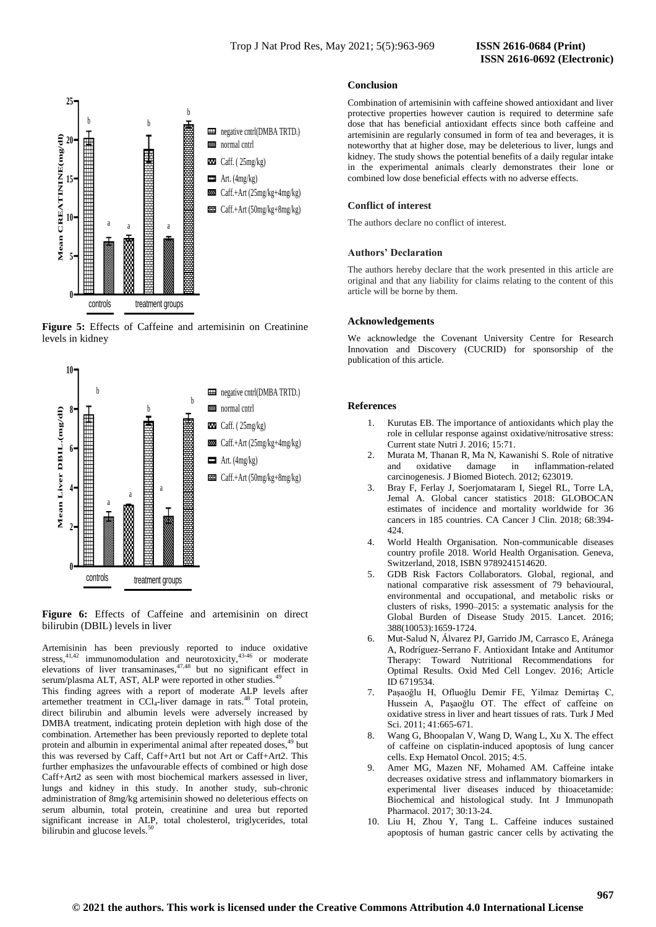







Artemisinin has been previously reported to induce oxidative stress,  $41,42$  immunomodulation and neurotoxicity,  $43-46$  or moderate elevations of liver transaminases, $47,48$  but no significant effect in serum/plasma ALT, AST, ALP were reported in other studies.<sup>4</sup>

This finding agrees with a report of moderate ALP levels after artemether treatment in CCl<sub>4</sub>-liver damage in rats.<sup>48</sup> Total protein, direct bilirubin and albumin levels were adversely increased by DMBA treatment, indicating protein depletion with high dose of the combination. Artemether has been previously reported to deplete total protein and albumin in experimental animal after repeated doses,<sup>49</sup> but this was reversed by Caff, Caff+Art1 but not Art or Caff+Art2. This further emphasizes the unfavourable effects of combined or high dose Caff+Art2 as seen with most biochemical markers assessed in liver, lungs and kidney in this study. In another study, sub-chronic administration of 8mg/kg artemisinin showed no deleterious effects on serum albumin, total protein, creatinine and urea but reported significant increase in ALP, total cholesterol, triglycerides, total bilirubin and glucose levels.

### **Conclusion**

Combination of artemisinin with caffeine showed antioxidant and liver protective properties however caution is required to determine safe dose that has beneficial antioxidant effects since both caffeine and artemisinin are regularly consumed in form of tea and beverages, it is noteworthy that at higher dose, may be deleterious to liver, lungs and kidney. The study shows the potential benefits of a daily regular intake in the experimental animals clearly demonstrates their lone or combined low dose beneficial effects with no adverse effects.

### **Conflict of interest**

The authors declare no conflict of interest.

#### **Authors' Declaration**

The authors hereby declare that the work presented in this article are original and that any liability for claims relating to the content of this article will be borne by them.

## **Acknowledgements**

We acknowledge the Covenant University Centre for Research Innovation and Discovery (CUCRID) for sponsorship of the publication of this article.

## **References**

- 1. Kurutas EB. The importance of antioxidants which play the role in cellular response against oxidative/nitrosative stress: Current state Nutri J. 2016; 15:71.
- 2. Murata M, Thanan R, Ma N, Kawanishi S. Role of nitrative and oxidative damage in inflammation-related carcinogenesis. J Biomed Biotech. 2012; 623019.
- 3. Bray F, Ferlay J, Soerjomataram I, Siegel RL, Torre LA, Jemal A. Global cancer statistics 2018: GLOBOCAN estimates of incidence and mortality worldwide for 36 cancers in 185 countries. CA Cancer J Clin. 2018; 68:394- 424.
- 4. World Health Organisation. Non-communicable diseases country profile 2018. World Health Organisation. Geneva, Switzerland, 2018, ISBN 9789241514620.
- 5. GDB Risk Factors Collaborators. Global, regional, and national comparative risk assessment of 79 behavioural, environmental and occupational, and metabolic risks or clusters of risks, 1990–2015: a systematic analysis for the Global Burden of Disease Study 2015. Lancet. 2016; 388(10053):1659-1724.
- 6. Mut-Salud N, Álvarez PJ, Garrido JM, Carrasco E, Aránega A, Rodríguez-Serrano F. Antioxidant Intake and Antitumor Therapy: Toward Nutritional Recommendations for Optimal Results. Oxid Med Cell Longev. 2016; Article ID 6719534.
- 7. Paşaoğlu H, Ofluoğlu Demir FE, Yilmaz Demirtaş C, Hussein A, Paşaoğlu OT. The effect of caffeine on oxidative stress in liver and heart tissues of rats. Turk J Med Sci. 2011; 41:665-671.
- 8. Wang G, Bhoopalan V, Wang D, Wang L, Xu X. The effect of caffeine on cisplatin-induced apoptosis of lung cancer cells. Exp Hematol Oncol. 2015; 4:5.
- 9. Amer MG, Mazen NF, Mohamed AM. Caffeine intake decreases oxidative stress and inflammatory biomarkers in experimental liver diseases induced by thioacetamide: Biochemical and histological study. Int J Immunopath Pharmacol. 2017; 30:13-24.
- 10. Liu H, Zhou Y, Tang L. Caffeine induces sustained apoptosis of human gastric cancer cells by activating the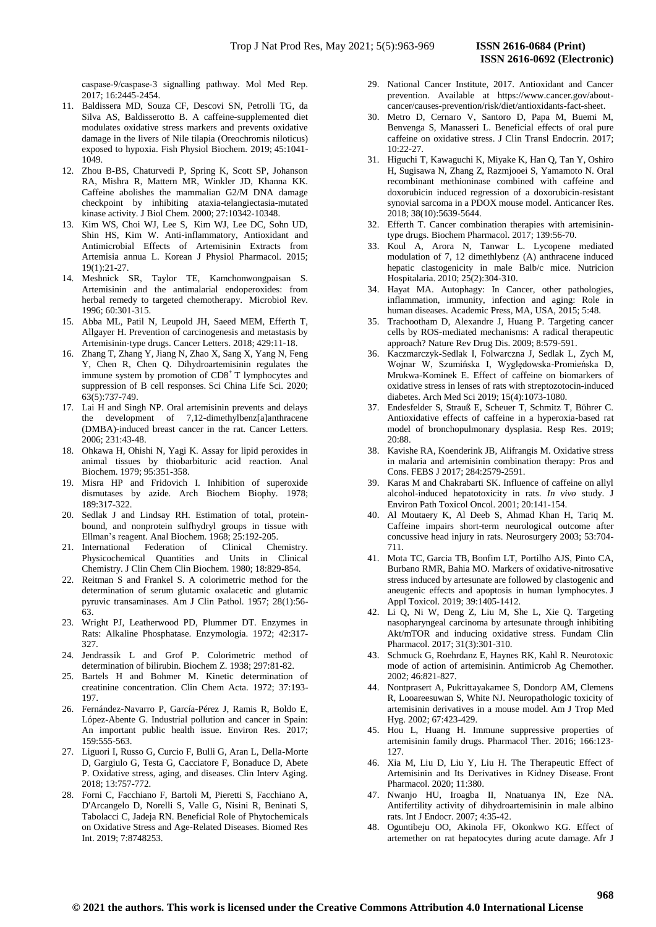caspase‑9/caspase‑3 signalling pathway. Mol Med Rep. 2017; 16:2445-2454.

- 11. Baldissera MD, Souza CF, Descovi SN, Petrolli TG, da Silva AS, Baldisserotto B. A caffeine-supplemented diet modulates oxidative stress markers and prevents oxidative damage in the livers of Nile tilapia (Oreochromis niloticus) exposed to hypoxia. Fish Physiol Biochem. 2019; 45:1041- 1049.
- 12. Zhou B-BS, Chaturvedi P, Spring K, Scott SP, Johanson RA, Mishra R, Mattern MR, Winkler JD, Khanna KK. Caffeine abolishes the mammalian G2/M DNA damage checkpoint by inhibiting ataxia-telangiectasia-mutated kinase activity. J Biol Chem. 2000; 27:10342-10348.
- 13. Kim WS, Choi WJ, Lee S, Kim WJ, Lee DC, Sohn UD, Shin HS, Kim W. Anti-inflammatory, Antioxidant and Antimicrobial Effects of Artemisinin Extracts from Artemisia annua L. Korean J Physiol Pharmacol. 2015; 19(1):21-27.
- 14. Meshnick SR, Taylor TE, Kamchonwongpaisan S. Artemisinin and the antimalarial endoperoxides: from herbal remedy to targeted chemotherapy. Microbiol Rev. 1996; 60:301-315.
- 15. Abba ML, Patil N, Leupold JH, Saeed MEM, Efferth T, Allgayer H. Prevention of carcinogenesis and metastasis by Artemisinin-type drugs. Cancer Letters. 2018; 429:11-18.
- 16. Zhang T, Zhang Y, Jiang N, Zhao X, Sang X, Yang N, Feng Y, Chen R, Chen Q. Dihydroartemisinin regulates the immune system by promotion of CD8<sup>+</sup> T lymphocytes and suppression of B cell responses. Sci China Life Sci. 2020; 63(5):737-749.
- 17. Lai H and Singh NP. Oral artemisinin prevents and delays the development of 7,12-dimethylbenz[a]anthracene (DMBA)-induced breast cancer in the rat. Cancer Letters. 2006; 231:43-48.
- 18. Ohkawa H, Ohishi N, Yagi K. Assay for lipid peroxides in animal tissues by thiobarbituric acid reaction. Anal Biochem. 1979; 95:351-358.
- 19. Misra HP and Fridovich I. Inhibition of superoxide dismutases by azide. Arch Biochem Biophy. 1978; 189:317-322.
- 20. Sedlak J and Lindsay RH. Estimation of total, proteinbound, and nonprotein sulfhydryl groups in tissue with Ellman's reagent. Anal Biochem. 1968; 25:192-205.
- 21. International Federation of Clinical Chemistry. Physicochemical Quantities and Units in Clinical Chemistry. J Clin Chem Clin Biochem. 1980; 18:829-854.
- 22. Reitman S and Frankel S. A colorimetric method for the determination of serum glutamic oxalacetic and glutamic pyruvic transaminases. Am J Clin Pathol. 1957; 28(1):56- 63.
- 23. Wright PJ, Leatherwood PD, Plummer DT. Enzymes in Rats: Alkaline Phosphatase. Enzymologia. 1972; 42:317- 327
- 24. Jendrassik L and Grof P. Colorimetric method of determination of bilirubin. Biochem Z. 1938; 297:81-82.
- 25. Bartels H and Bohmer M. Kinetic determination of creatinine concentration. Clin Chem Acta. 1972; 37:193- 197.
- 26. Fernández-Navarro P, García-Pérez J, Ramis R, Boldo E, López-Abente G. Industrial pollution and cancer in Spain: An important public health issue. Environ Res. 2017; 159:555-563.
- 27. Liguori I, Russo G, Curcio F, Bulli G, Aran L, Della-Morte D, Gargiulo G, Testa G, Cacciatore F, Bonaduce D, Abete P. Oxidative stress, aging, and diseases. Clin Interv Aging. 2018; 13:757-772.
- 28. Forni C, Facchiano F, Bartoli M, Pieretti S, Facchiano A, D'Arcangelo D, Norelli S, Valle G, Nisini R, Beninati S, Tabolacci C, Jadeja RN. Beneficial Role of Phytochemicals on Oxidative Stress and Age-Related Diseases. Biomed Res Int. 2019; 7:8748253.
- 29. National Cancer Institute, 2017. Antioxidant and Cancer prevention. Available at https://www.cancer.gov/aboutcancer/causes-prevention/risk/diet/antioxidants-fact-sheet.
- 30. Metro D, Cernaro V, Santoro D, Papa M, Buemi M, Benvenga S, Manasseri L. Beneficial effects of oral pure caffeine on oxidative stress. J Clin Transl Endocrin. 2017; 10:22-27.
- 31. Higuchi T, Kawaguchi K, Miyake K, Han Q, Tan Y, Oshiro H, Sugisawa N, Zhang Z, Razmjooei S, Yamamoto N. Oral recombinant methioninase combined with caffeine and doxorubicin induced regression of a doxorubicin-resistant synovial sarcoma in a PDOX mouse model. Anticancer Res. 2018; 38(10):5639-5644.
- 32. Efferth T. Cancer combination therapies with artemisinintype drugs. Biochem Pharmacol. 2017; 139:56-70.
- 33. Koul A, Arora N, Tanwar L. Lycopene mediated modulation of 7, 12 dimethlybenz (A) anthracene induced hepatic clastogenicity in male Balb/c mice. Nutricion Hospitalaria. 2010; 25(2):304-310.
- 34. Hayat MA. Autophagy: In Cancer, other pathologies, inflammation, immunity, infection and aging: Role in human diseases. Academic Press, MA, USA, 2015; 5:48.
- 35. Trachootham D, Alexandre J, Huang P. Targeting cancer cells by ROS-mediated mechanisms: A radical therapeutic approach? Nature Rev Drug Dis. 2009; 8:579-591.
- 36. Kaczmarczyk-Sedlak I, Folwarczna J, Sedlak L, Zych M, Wojnar W, Szumińska I, Wyględowska-Promieńska D, Mrukwa-Kominek E. Effect of caffeine on biomarkers of oxidative stress in lenses of rats with streptozotocin-induced diabetes. Arch Med Sci 2019; 15(4):1073-1080.
- 37. Endesfelder S, Strauß E, Scheuer T, Schmitz T, Bührer C. Antioxidative effects of caffeine in a hyperoxia-based rat model of bronchopulmonary dysplasia. Resp Res. 2019; 20:88.
- 38. Kavishe RA, Koenderink JB, Alifrangis M. Oxidative stress in malaria and artemisinin combination therapy: Pros and Cons. FEBS J 2017; 284:2579-2591.
- 39. Karas M and Chakrabarti SK. Influence of caffeine on allyl alcohol-induced hepatotoxicity in rats. *In vivo* study. J Environ Path Toxicol Oncol. 2001; 20:141-154.
- 40. Al Moutaery K, Al Deeb S, Ahmad Khan H, Tariq M. Caffeine impairs short-term neurological outcome after concussive head injury in rats. Neurosurgery 2003; 53:704- 711.
- 41. Mota TC, Garcia TB, Bonfim LT, Portilho AJS, Pinto CA, Burbano RMR, Bahia MO. Markers of oxidative‐nitrosative stress induced by artesunate are followed by clastogenic and aneugenic effects and apoptosis in human lymphocytes. J Appl Toxicol. 2019; 39:1405-1412.
- 42. Li Q, Ni W, Deng Z, Liu M, She L, Xie Q. Targeting nasopharyngeal carcinoma by artesunate through inhibiting Akt/mTOR and inducing oxidative stress. Fundam Clin Pharmacol. 2017; 31(3):301-310.
- 43. Schmuck G, Roehrdanz E, Haynes RK, Kahl R. Neurotoxic mode of action of artemisinin. Antimicrob Ag Chemother*.* 2002; 46:821-827.
- 44. Nontprasert A, Pukrittayakamee S, Dondorp AM, Clemens R, Looareesuwan S, White NJ. Neuropathologic toxicity of artemisinin derivatives in a mouse model. Am J Trop Med Hyg. 2002; 67:423-429.
- 45. Hou L, Huang H. Immune suppressive properties of artemisinin family drugs. Pharmacol Ther. 2016; 166:123- 127.
- 46. Xia M, Liu D, Liu Y, Liu H. The Therapeutic Effect of Artemisinin and Its Derivatives in Kidney Disease. Front Pharmacol. 2020; 11:380.
- 47. Nwanjo HU, Iroagba II, Nnatuanya IN, Eze NA. Antifertility activity of dihydroartemisinin in male albino rats. Int J Endocr. 2007; 4:35-42.
- 48. Oguntibeju OO, Akinola FF, Okonkwo KG. Effect of artemether on rat hepatocytes during acute damage. Afr J